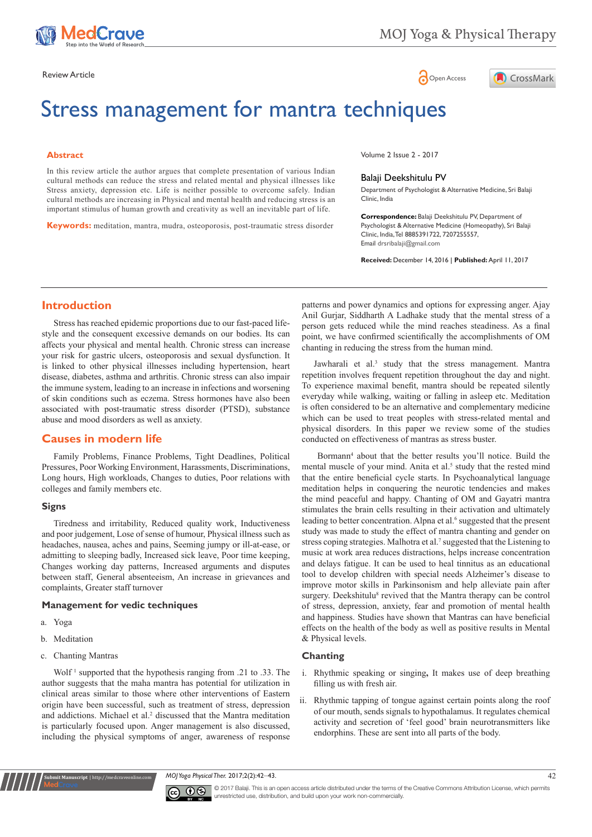

# Review Article **Contracts** Contracts and Contracts Contracts Contracts Contracts Contracts Contracts Contracts Contracts Contracts Contracts Contracts Contracts Contracts Contracts Contracts Contracts Contracts Contracts C



# Stress management for mantra techniques

#### **Abstract**

In this review article the author argues that complete presentation of various Indian cultural methods can reduce the stress and related mental and physical illnesses like Stress anxiety, depression etc. Life is neither possible to overcome safely. Indian cultural methods are increasing in Physical and mental health and reducing stress is an important stimulus of human growth and creativity as well an inevitable part of life.

**Keywords:** meditation, mantra, mudra, osteoporosis, post-traumatic stress disorder

Volume 2 Issue 2 - 2017

#### Balaji Deekshitulu PV

Department of Psychologist & Alternative Medicine, Sri Balaji Clinic, India

**Correspondence:** Balaji Deekshitulu PV, Department of Psychologist & Alternative Medicine (Homeopathy), Sri Balaji Clinic, India, Tel 8885391722, 7207255557, Email drsribalaji@gmail.com

**Received:** December 14, 2016 | **Published:** April 11, 2017

# **Introduction**

Stress has reached epidemic proportions due to our fast-paced lifestyle and the consequent excessive demands on our bodies. Its can affects your physical and mental health. Chronic stress can increase your risk for gastric ulcers, osteoporosis and sexual dysfunction. It is linked to other physical illnesses including hypertension, heart disease, diabetes, asthma and arthritis. Chronic stress can also impair the immune system, leading to an increase in infections and worsening of skin conditions such as eczema. Stress hormones have also been associated with post-traumatic stress disorder (PTSD), substance abuse and mood disorders as well as anxiety.

# **Causes in modern life**

Family Problems, Finance Problems, Tight Deadlines, Political Pressures, Poor Working Environment, Harassments, Discriminations, Long hours, High workloads, Changes to duties, Poor relations with colleges and family members etc.

#### **Signs**

Tiredness and irritability, Reduced quality work, Inductiveness and poor judgement, Lose of sense of humour, Physical illness such as headaches, nausea, aches and pains, Seeming jumpy or ill-at-ease, or admitting to sleeping badly, Increased sick leave, Poor time keeping, Changes working day patterns, Increased arguments and disputes between staff, General absenteeism, An increase in grievances and complaints, Greater staff turnover

#### **Management for vedic techniques**

- a. Yoga
- b. Meditation
- c. Chanting Mantras

**it Manuscript** | http://medcraveonline.

Wolf<sup>1</sup> supported that the hypothesis ranging from .21 to .33. The author suggests that the maha mantra has potential for utilization in clinical areas similar to those where other interventions of Eastern origin have been successful, such as treatment of stress, depression and addictions. Michael et al.<sup>2</sup> discussed that the Mantra meditation is particularly focused upon. Anger management is also discussed, including the physical symptoms of anger, awareness of response

patterns and power dynamics and options for expressing anger. Ajay Anil Gurjar, Siddharth A Ladhake study that the mental stress of a person gets reduced while the mind reaches steadiness. As a final point, we have confirmed scientifically the accomplishments of OM chanting in reducing the stress from the human mind.

Jawharali et al.<sup>3</sup> study that the stress management. Mantra repetition involves frequent repetition throughout the day and night. To experience maximal benefit, mantra should be repeated silently everyday while walking, waiting or falling in asleep etc. Meditation is often considered to be an alternative and complementary medicine which can be used to treat peoples with stress-related mental and physical disorders. In this paper we review some of the studies conducted on effectiveness of mantras as stress buster.

Bormann<sup>4</sup> about that the better results you'll notice. Build the mental muscle of your mind. Anita et al.<sup>5</sup> study that the rested mind that the entire beneficial cycle starts. In Psychoanalytical language meditation helps in conquering the neurotic tendencies and makes the mind peaceful and happy. Chanting of OM and Gayatri mantra stimulates the brain cells resulting in their activation and ultimately leading to better concentration. Alpna et al.<sup>6</sup> suggested that the present study was made to study the effect of mantra chanting and gender on stress coping strategies. Malhotra et al.<sup>7</sup> suggested that the Listening to music at work area reduces distractions, helps increase concentration and delays fatigue. It can be used to heal tinnitus as an educational tool to develop children with special needs Alzheimer's disease to improve motor skills in Parkinsonism and help alleviate pain after surgery. Deekshitulu<sup>8</sup> revived that the Mantra therapy can be control of stress, depression, anxiety, fear and promotion of mental health and happiness. Studies have shown that Mantras can have beneficial effects on the health of the body as well as positive results in Mental & Physical levels.

## **Chanting**

- i. Rhythmic speaking or singing**,** It makes use of deep breathing filling us with fresh air.
- ii. Rhythmic tapping of tongue against certain points along the roof of our mouth, sends signals to hypothalamus. It regulates chemical activity and secretion of 'feel good' brain neurotransmitters like endorphins. These are sent into all parts of the body.

*MOJ Yoga Physical Ther.* 2017;2(2):42‒43. 42



© 2017 Balaji. This is an open access article distributed under the terms of the [Creative Commons Attribution License](https://creativecommons.org/licenses/by-nc/4.0/), which permits unrestricted use, distribution, and build upon your work non-commercially.